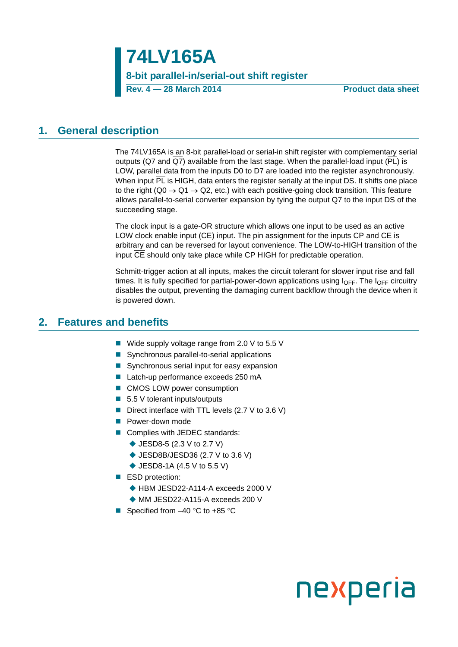**74LV165A 8-bit parallel-in/serial-out shift register Rev. 4 — 28 March 2014 Product data sheet**

nexperia

## <span id="page-0-0"></span>**1. General description**

The 74LV165A is an 8-bit parallel-load or serial-in shift register with complementary serial outputs (Q7 and Q7) available from the last stage. When the parallel-load input (PL) is LOW, parallel data from the inputs D0 to D7 are loaded into the register asynchronously. When input PL is HIGH, data enters the register serially at the input DS. It shifts one place to the right ( $Q0 \rightarrow Q1 \rightarrow Q2$ , etc.) with each positive-going clock transition. This feature allows parallel-to-serial converter expansion by tying the output Q7 to the input DS of the succeeding stage.

The clock input is a gate-OR structure which allows one input to be used as an active LOW clock enable input (CE) input. The pin assignment for the inputs CP and CE is arbitrary and can be reversed for layout convenience. The LOW-to-HIGH transition of the input CE should only take place while CP HIGH for predictable operation.

Schmitt-trigger action at all inputs, makes the circuit tolerant for slower input rise and fall times. It is fully specified for partial-power-down applications using  $I_{\text{OFF}}$ . The  $I_{\text{OFF}}$  circuitry disables the output, preventing the damaging current backflow through the device when it is powered down.

### <span id="page-0-1"></span>**2. Features and benefits**

- Wide supply voltage range from 2.0 V to 5.5 V
- Synchronous parallel-to-serial applications
- Synchronous serial input for easy expansion
- Latch-up performance exceeds 250 mA
- CMOS LOW power consumption
- 5.5 V tolerant inputs/outputs
- Direct interface with TTL levels  $(2.7 \vee$  to 3.6 V)
- **Power-down mode**
- Complies with JEDEC standards:
	- ◆ JESD8-5 (2.3 V to 2.7 V)
	- ◆ JESD8B/JESD36 (2.7 V to 3.6 V)
	- ◆ JESD8-1A (4.5 V to 5.5 V)
- ESD protection:
	- ◆ HBM JESD22-A114-A exceeds 2000 V
	- MM JESD22-A115-A exceeds 200 V
- Specified from  $-40$  °C to  $+85$  °C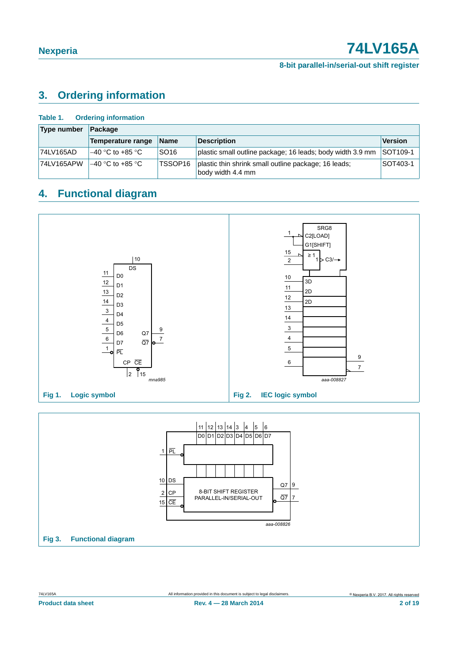# <span id="page-1-0"></span>**3. Ordering information**

| <b>Ordering information</b><br>Table 1. |                    |                  |                                                                           |                |  |  |  |  |  |  |
|-----------------------------------------|--------------------|------------------|---------------------------------------------------------------------------|----------------|--|--|--|--|--|--|
| Type number                             | Package            |                  |                                                                           |                |  |  |  |  |  |  |
|                                         | Temperature range  | <b>Name</b>      | <b>Description</b>                                                        | <b>Version</b> |  |  |  |  |  |  |
| 74LV165AD                               | $-40$ °C to +85 °C | SO <sub>16</sub> | plastic small outline package; 16 leads; body width 3.9 mm                | SOT109-1       |  |  |  |  |  |  |
| 74LV165APW                              | $-40$ °C to +85 °C | TSSOP16          | plastic thin shrink small outline package; 16 leads;<br>body width 4.4 mm | SOT403-1       |  |  |  |  |  |  |

# <span id="page-1-1"></span>**4. Functional diagram**



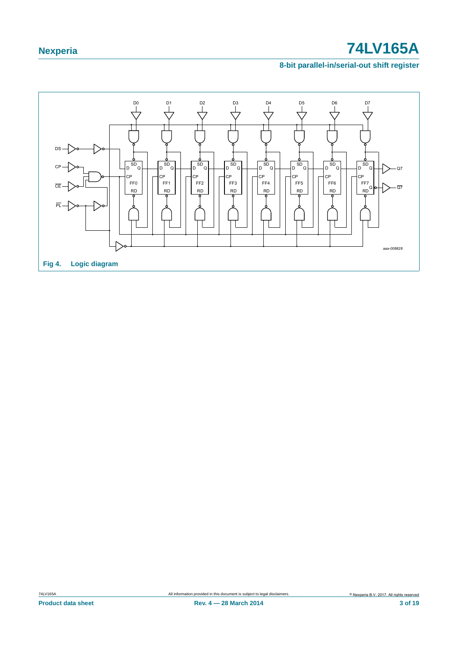## **8-bit parallel-in/serial-out shift register**

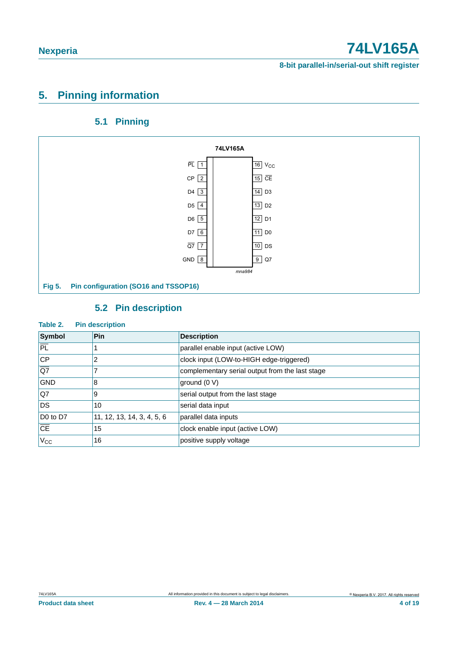# <span id="page-3-1"></span>**5. Pinning information**

## **5.1 Pinning**

<span id="page-3-2"></span>

## **5.2 Pin description**

### <span id="page-3-3"></span><span id="page-3-0"></span>**Table 2. Pin description**

| Symbol                              | Pin                        | <b>Description</b>                              |
|-------------------------------------|----------------------------|-------------------------------------------------|
| <b>PL</b>                           |                            | parallel enable input (active LOW)              |
| <b>CP</b>                           | 2                          | clock input (LOW-to-HIGH edge-triggered)        |
| $\overline{\overline{\mathsf{Q7}}}$ |                            | complementary serial output from the last stage |
| <b>GND</b>                          | 8                          | ground $(0 V)$                                  |
| lQ7                                 | 9                          | serial output from the last stage               |
| DS                                  | 10                         | serial data input                               |
| D <sub>0</sub> to D <sub>7</sub>    | 11, 12, 13, 14, 3, 4, 5, 6 | parallel data inputs                            |
| <b>CE</b>                           | 15                         | clock enable input (active LOW)                 |
| $V_{\rm CC}$                        | 16                         | positive supply voltage                         |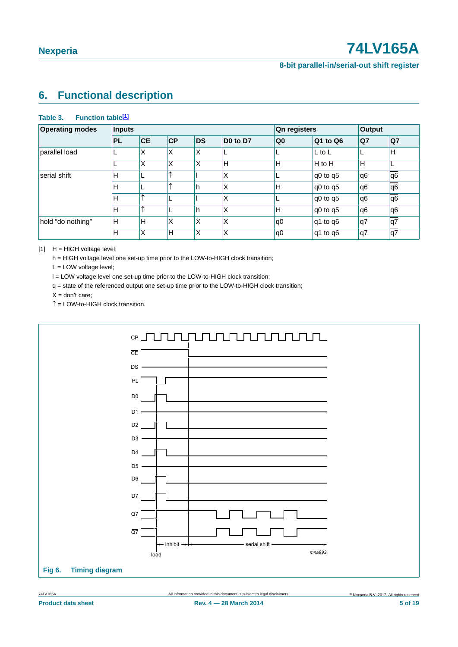# <span id="page-4-1"></span>**6. Functional description**

#### Table 3. Function table<sup>[1]</sup>

| <b>Operating modes</b> | <b>Inputs</b> |           |    |           |          | Qn registers   |              | <b>Output</b>  |                 |
|------------------------|---------------|-----------|----|-----------|----------|----------------|--------------|----------------|-----------------|
|                        | <b>PL</b>     | <b>CE</b> | CP | <b>DS</b> | D0 to D7 | Q <sub>0</sub> | Q1 to Q6     | Q7             | Q7              |
| parallel load          |               | ΙX        | X  | X         |          |                | $L$ to $L$   | L              | H               |
|                        |               | ΙX        | X  | X         | Н        | H              | H to H       | lН             | ┗               |
| serial shift           | H             |           |    |           | X        |                | $q0$ to $q5$ | q <sub>6</sub> | $\overline{q6}$ |
|                        | H             |           | ᄉ  | h         | Χ        | H              | $q0$ to $q5$ | q <sub>6</sub> | $\overline{q6}$ |
|                        | H             | ∧         |    |           | X        |                | $q0$ to $q5$ | q <sub>6</sub> | $\overline{q6}$ |
|                        | H             | ⋏         |    | h         | X        | H              | q0 to q5     | q <sub>6</sub> | $\overline{q6}$ |
| hold "do nothing"      | H             | lн        | X  | X         | X        | q <sub>0</sub> | q1 to q6     | q7             | $\overline{q7}$ |
|                        | H             | ΙX        | H  | X         | X        | q <sub>0</sub> | q1 to q6     | q7             | $\overline{q7}$ |

#### <span id="page-4-0"></span> $[1]$  H = HIGH voltage level;

h = HIGH voltage level one set-up time prior to the LOW-to-HIGH clock transition;

L = LOW voltage level;

l = LOW voltage level one set-up time prior to the LOW-to-HIGH clock transition;

q = state of the referenced output one set-up time prior to the LOW-to-HIGH clock transition;

 $X =$  don't care;

 $\uparrow$  = LOW-to-HIGH clock transition.

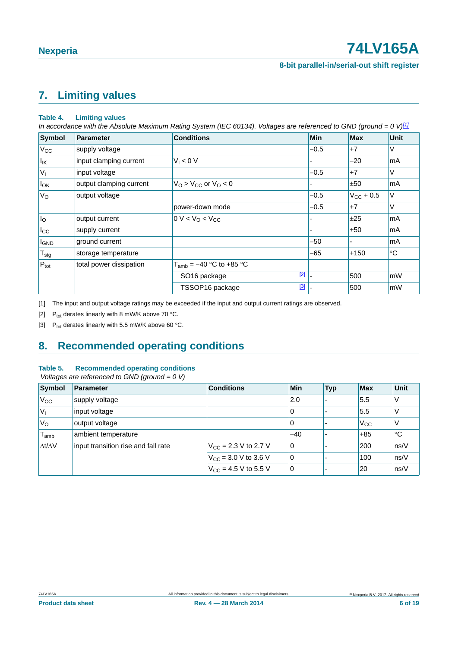# <span id="page-5-3"></span>**7. Limiting values**

#### **Table 4. Limiting values**

*In accordance with the Absolute Maximum Rating System (IEC 60134). Voltages are referenced to GND (ground = 0 V)[\[1\]](#page-5-0)*

| Symbol              | <b>Parameter</b>        | <b>Conditions</b>                      | <b>Min</b> |        | <b>Max</b>     | Unit              |
|---------------------|-------------------------|----------------------------------------|------------|--------|----------------|-------------------|
| $V_{CC}$            | supply voltage          |                                        |            | $-0.5$ | $+7$           | V                 |
| $ I_{\mathsf{IK}} $ | input clamping current  | $V_1 < 0$ V                            |            |        | $-20$          | mA                |
| $V_I$               | input voltage           |                                        |            | $-0.5$ | $+7$           | V                 |
| $I_{OK}$            | output clamping current | $V_Q > V_{CC}$ or $V_Q < 0$            |            |        | ±50            | mA                |
| $V_{\rm O}$         | output voltage          |                                        |            | $-0.5$ | $V_{CC}$ + 0.5 | V                 |
|                     |                         | power-down mode                        |            | $-0.5$ | $+7$           | $\vee$            |
| I <sub>o</sub>      | output current          | 0 V < V <sub>O</sub> < V <sub>CC</sub> |            |        | ±25            | mA                |
| $I_{\rm CC}$        | supply current          |                                        |            |        | $+50$          | l mA              |
| <b>I</b> GND        | ground current          |                                        |            | $-50$  |                | <b>mA</b>         |
| $T_{\text{stg}}$    | storage temperature     |                                        |            | $-65$  | $+150$         | $^{\circ}{\rm C}$ |
| $P_{\text{tot}}$    | total power dissipation | $T_{amb} = -40$ °C to +85 °C           |            |        |                |                   |
|                     |                         | SO16 package                           | $[2]$      |        | 500            | mW                |
|                     |                         | TSSOP16 package                        | $[3]$      |        | 500            | mW                |

<span id="page-5-0"></span>[1] The input and output voltage ratings may be exceeded if the input and output current ratings are observed.

<span id="page-5-1"></span>[2] P<sub>tot</sub> derates linearly with 8 mW/K above 70 °C.

<span id="page-5-2"></span>[3]  $P_{tot}$  derates linearly with 5.5 mW/K above 60 °C.

# <span id="page-5-4"></span>**8. Recommended operating conditions**

#### **Table 5. Recommended operating conditions**

 *Voltages are referenced to GND (ground = 0 V)*

| Symbol              | Parameter                           | <b>Conditions</b>                | Min   | <b>Typ</b> | Max          | <b>Unit</b> |
|---------------------|-------------------------------------|----------------------------------|-------|------------|--------------|-------------|
| $V_{\rm CC}$        | supply voltage                      |                                  | 2.0   |            | 5.5          | ν           |
| $ V_1$              | input voltage                       |                                  | 0     |            | 5.5          | ٧           |
| 'V <sub>o</sub>     | output voltage                      |                                  | 0     |            | $V_{\rm CC}$ | ٧           |
| $T_{\mathsf{amb}}$  | ambient temperature                 |                                  | $-40$ | -          | $+85$        | $^{\circ}C$ |
| $\Delta t/\Delta V$ | input transition rise and fall rate | $V_{\rm CC}$ = 2.3 V to 2.7 V    | 0     |            | 200          | ns/V        |
|                     |                                     | $V_{\text{CC}}$ = 3.0 V to 3.6 V | 0     |            | 100          | ns/V        |
|                     |                                     | $V_{CC}$ = 4.5 V to 5.5 V        | 0     |            | 20           | ns/V        |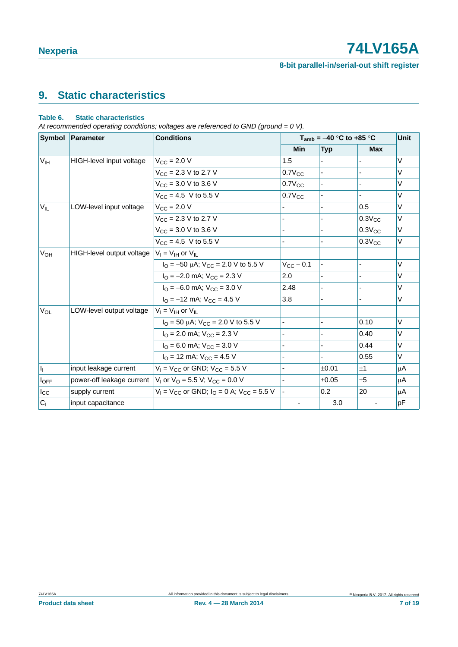# <span id="page-6-1"></span>**9. Static characteristics**

#### <span id="page-6-0"></span>**Table 6. Static characteristics**

*At recommended operating conditions; voltages are referenced to GND (ground = 0 V).*

|                       | Symbol Parameter          | <b>Conditions</b>                                                           |                | $T_{amb} = -40$ °C to +85 °C |             |        |  |  |
|-----------------------|---------------------------|-----------------------------------------------------------------------------|----------------|------------------------------|-------------|--------|--|--|
|                       |                           |                                                                             | <b>Min</b>     | <b>Typ</b>                   | <b>Max</b>  |        |  |  |
| V <sub>IH</sub>       | HIGH-level input voltage  | $V_{CC}$ = 2.0 V                                                            | 1.5            |                              |             | $\vee$ |  |  |
|                       |                           | $V_{CC}$ = 2.3 V to 2.7 V                                                   | $0.7V_{CC}$    |                              |             | V      |  |  |
|                       |                           | $V_{\text{CC}} = 3.0 \text{ V}$ to 3.6 V                                    | $0.7V_{CC}$    |                              |             | V      |  |  |
|                       |                           | $V_{CC} = 4.5$ V to 5.5 V                                                   | $0.7V_{CC}$    |                              |             | V      |  |  |
| $V_{IL}$              | LOW-level input voltage   | $V_{\text{CC}} = 2.0 V$                                                     |                |                              | 0.5         | V      |  |  |
|                       |                           | $V_{\text{CC}} = 2.3 \text{ V}$ to 2.7 V                                    |                |                              | $0.3V_{CC}$ | V      |  |  |
|                       |                           | $V_{\text{CC}} = 3.0 \text{ V}$ to 3.6 V                                    | L.             | $\blacksquare$               | $0.3V_{CC}$ | V      |  |  |
|                       |                           | $V_{CC} = 4.5$ V to 5.5 V                                                   |                |                              | $0.3V_{CC}$ | V      |  |  |
| <b>V<sub>OH</sub></b> | HIGH-level output voltage | $V_I = V_{IH}$ or $V_{II}$                                                  |                |                              |             |        |  |  |
|                       |                           | $I_{\text{O}} = -50 \mu\text{A}$ ; $V_{\text{CC}} = 2.0 \text{ V}$ to 5.5 V | $V_{CC}$ – 0.1 |                              |             | $\vee$ |  |  |
|                       |                           | $I_{\Omega}$ = -2.0 mA; $V_{\text{CC}}$ = 2.3 V                             | 2.0            |                              |             | V      |  |  |
|                       |                           | $I_{\Omega}$ = -6.0 mA; $V_{\text{CC}}$ = 3.0 V                             | 2.48           |                              |             | V      |  |  |
|                       |                           | $I_{\Omega}$ = -12 mA; $V_{\text{CC}}$ = 4.5 V                              | 3.8            |                              |             | V      |  |  |
| $V_{OL}$              | LOW-level output voltage  | $V_I = V_{IH}$ or $V_{II}$                                                  |                |                              |             |        |  |  |
|                       |                           | $IO$ = 50 µA; $VCC$ = 2.0 V to 5.5 V                                        |                |                              | 0.10        | V      |  |  |
|                       |                           | $IO$ = 2.0 mA; $VCC$ = 2.3 V                                                | ä,             |                              | 0.40        | V      |  |  |
|                       |                           | $IO$ = 6.0 mA; $VCC$ = 3.0 V                                                |                |                              | 0.44        | V      |  |  |
|                       |                           | $I_{\Omega}$ = 12 mA; $V_{\text{CC}}$ = 4.5 V                               |                |                              | 0.55        | V      |  |  |
| h.                    | input leakage current     | $V_1$ = $V_{CC}$ or GND; $V_{CC}$ = 5.5 V                                   |                | ±0.01                        | ±1          | μA     |  |  |
| loff                  | power-off leakage current | $V_1$ or $V_0$ = 5.5 V; $V_{CC}$ = 0.0 V                                    |                | ±0.05                        | ±5          | μA     |  |  |
| $I_{\rm CC}$          | supply current            | $V_1 = V_{CC}$ or GND; $I_0 = 0$ A; $V_{CC} = 5.5$ V                        |                | 0.2                          | 20          | μA     |  |  |
| C <sub>1</sub>        | input capacitance         |                                                                             |                | 3.0                          |             | pF     |  |  |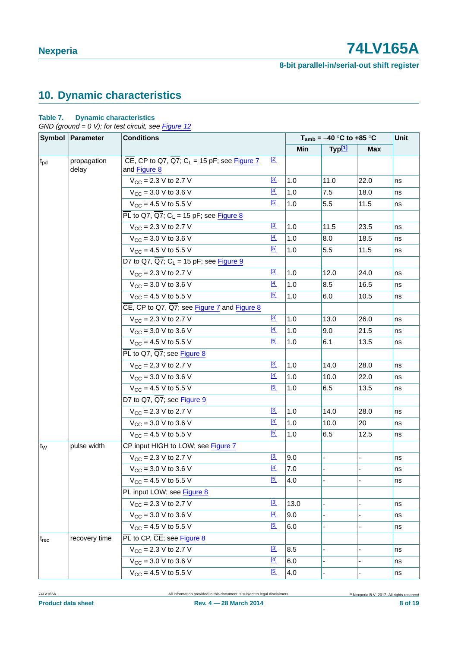# <span id="page-7-0"></span>**10. Dynamic characteristics**

#### **Table 7. Dynamic characteristics**

*GND (ground = 0 V); for test circuit, see [Figure 12](#page-12-0)*

|              | Symbol   Parameter<br><b>Conditions</b> |                                                                                                    |       | $T_{amb} = -40$ °C to +85 °C |                    |            | Unit      |
|--------------|-----------------------------------------|----------------------------------------------------------------------------------------------------|-------|------------------------------|--------------------|------------|-----------|
|              |                                         |                                                                                                    |       | Min                          | Typ <sup>[1]</sup> | <b>Max</b> |           |
| $t_{\rm pd}$ | propagation<br>delay                    | $\overline{CE}$ , CP to Q7, $\overline{Q7}$ ; C <sub>L</sub> = 15 pF; see Figure 7<br>and Figure 8 | $[2]$ |                              |                    |            |           |
|              |                                         | $V_{CC}$ = 2.3 V to 2.7 V                                                                          | $[3]$ | 1.0                          | 11.0               | 22.0       | ns        |
|              |                                         | $V_{CC}$ = 3.0 V to 3.6 V                                                                          | $[4]$ | 1.0                          | 7.5                | 18.0       | $\sf{ns}$ |
|              |                                         | $V_{CC}$ = 4.5 V to 5.5 V                                                                          | [5]   | 1.0                          | 5.5                | 11.5       | ns        |
|              |                                         | $\overline{PL}$ to Q7, $\overline{QT}$ ; C <sub>i</sub> = 15 pF; see Figure 8                      |       |                              |                    |            |           |
|              |                                         | $V_{CC}$ = 2.3 V to 2.7 V                                                                          | $[3]$ | 1.0                          | 11.5               | 23.5       | ns        |
|              |                                         | $V_{CC}$ = 3.0 V to 3.6 V                                                                          | $[4]$ | 1.0                          | 8.0                | 18.5       | ns        |
|              |                                         | $V_{CC}$ = 4.5 V to 5.5 V                                                                          | [5]   | 1.0                          | 5.5                | 11.5       | ns        |
|              |                                         | D7 to Q7, $\overline{Q7}$ ; C <sub>L</sub> = 15 pF; see Figure 9                                   |       |                              |                    |            |           |
|              |                                         | $V_{CC}$ = 2.3 V to 2.7 V                                                                          | $[3]$ | 1.0                          | 12.0               | 24.0       | ns        |
|              |                                         | $V_{CC}$ = 3.0 V to 3.6 V                                                                          | $[4]$ | 1.0                          | 8.5                | 16.5       | ns        |
|              |                                         | $V_{CC}$ = 4.5 V to 5.5 V                                                                          | [5]   | 1.0                          | 6.0                | 10.5       | ns        |
|              |                                         | $\overline{CE}$ , CP to Q7, $\overline{Q7}$ ; see Figure 7 and Figure 8                            |       |                              |                    |            |           |
|              |                                         | $V_{CC}$ = 2.3 V to 2.7 V                                                                          | $[3]$ | 1.0                          | 13.0               | 26.0       | ns        |
|              |                                         | $V_{CC}$ = 3.0 V to 3.6 V                                                                          | $[4]$ | 1.0                          | 9.0                | 21.5       | ns        |
|              |                                         | $V_{CC}$ = 4.5 V to 5.5 V                                                                          | [5]   | 1.0                          | 6.1                | 13.5       | ns        |
|              |                                         | $\overline{PL}$ to Q7, $\overline{Q7}$ ; see Figure 8                                              |       |                              |                    |            |           |
|              |                                         | $V_{CC}$ = 2.3 V to 2.7 V                                                                          | $[3]$ | 1.0                          | 14.0               | 28.0       | ns        |
|              |                                         | $V_{CC}$ = 3.0 V to 3.6 V                                                                          | $[4]$ | 1.0                          | 10.0               | 22.0       | ns        |
|              |                                         | $V_{CC}$ = 4.5 V to 5.5 V                                                                          | [5]   | 1.0                          | 6.5                | 13.5       | ns        |
|              |                                         | D7 to Q7, Q7; see Figure 9                                                                         |       |                              |                    |            |           |
|              |                                         | $V_{CC}$ = 2.3 V to 2.7 V                                                                          | $[3]$ | 1.0                          | 14.0               | 28.0       | ns        |
|              |                                         | $V_{CC}$ = 3.0 V to 3.6 V                                                                          | $[4]$ | 1.0                          | 10.0               | 20         | ns        |
|              |                                         | $V_{CC}$ = 4.5 V to 5.5 V                                                                          | [5]   | 1.0                          | 6.5                | 12.5       | ns        |
| $ t_W $      | pulse width                             | CP input HIGH to LOW; see Figure 7                                                                 |       |                              |                    |            |           |
|              |                                         | $V_{CC}$ = 2.3 V to 2.7 V                                                                          | $[3]$ | 9.0                          |                    |            | ns        |
|              |                                         | $V_{CC}$ = 3.0 V to 3.6 V                                                                          | $[4]$ | 7.0                          |                    |            | ns        |
|              |                                         | $V_{CC}$ = 4.5 V to 5.5 V                                                                          | [5]   | 4.0                          |                    |            | ns        |
|              |                                         | PL input LOW; see Figure 8                                                                         |       |                              |                    |            |           |
|              |                                         | $V_{CC}$ = 2.3 V to 2.7 V                                                                          | $[3]$ | 13.0                         |                    |            | ns        |
|              |                                         | $V_{CC}$ = 3.0 V to 3.6 V                                                                          | $[4]$ | 9.0                          |                    |            | ns        |
|              |                                         | $V_{CC}$ = 4.5 V to 5.5 V                                                                          | [5]   | 6.0                          |                    |            | ns        |
| $t_{rec}$    | recovery time                           | PL to CP, CE; see Figure 8                                                                         |       |                              |                    |            |           |
|              |                                         | $V_{CC}$ = 2.3 V to 2.7 V                                                                          | $[3]$ | 8.5                          |                    |            | ns        |
|              |                                         | $V_{CC}$ = 3.0 V to 3.6 V                                                                          | $[4]$ | $6.0\,$                      |                    |            | ns        |
|              |                                         | $V_{CC}$ = 4.5 V to 5.5 V                                                                          | [5]   | 4.0                          |                    |            | ns        |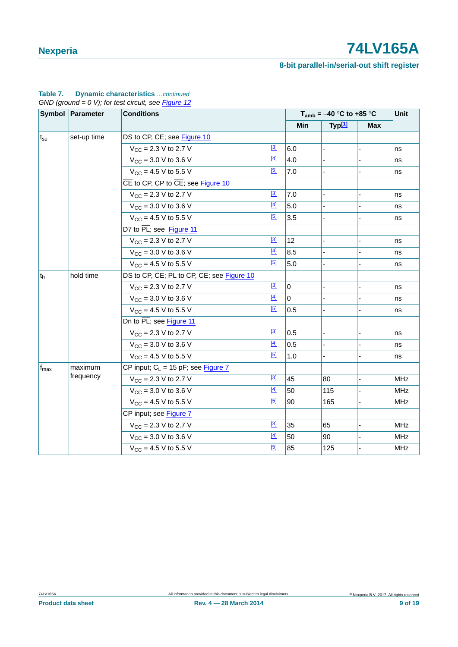## **8-bit parallel-in/serial-out shift register**

|                  | - 19.<br>Symbol Parameter | <b>Conditions</b>                                            |       |          | $T_{amb} = -40$ °C to +85 °C |            | Unit       |
|------------------|---------------------------|--------------------------------------------------------------|-------|----------|------------------------------|------------|------------|
|                  |                           |                                                              |       | Min      | Typ[1]                       | <b>Max</b> |            |
| $t_{\text{su}}$  | set-up time               | DS to CP, CE; see Figure 10                                  |       |          |                              |            |            |
|                  |                           | $V_{CC}$ = 2.3 V to 2.7 V                                    | $[3]$ | 6.0      |                              |            | ns         |
|                  |                           | $V_{CC}$ = 3.0 V to 3.6 V                                    | $[4]$ | 4.0      |                              |            | ns         |
|                  |                           | $V_{CC}$ = 4.5 V to 5.5 V                                    | [5]   | 7.0      |                              |            | ns         |
|                  |                           | $\overline{CE}$ to CP, CP to $\overline{CE}$ ; see Figure 10 |       |          |                              |            |            |
|                  |                           | $V_{\text{CC}}$ = 2.3 V to 2.7 V                             | $[3]$ | 7.0      |                              |            | ns         |
|                  |                           | $V_{CC}$ = 3.0 V to 3.6 V                                    | $[4]$ | 5.0      |                              |            | ns         |
|                  |                           | $V_{CC}$ = 4.5 V to 5.5 V                                    | [5]   | 3.5      |                              |            | ns         |
|                  |                           | D7 to PL; see Figure 11                                      |       |          |                              |            |            |
|                  |                           | $V_{CC}$ = 2.3 V to 2.7 V                                    | $[3]$ | 12       |                              |            | ns         |
|                  |                           | $V_{CC}$ = 3.0 V to 3.6 V                                    | $[4]$ | 8.5      |                              |            | ns         |
|                  |                           | $V_{CC}$ = 4.5 V to 5.5 V                                    | [5]   | 5.0      |                              |            | ns         |
| $ t_h$           | hold time                 | DS to CP, CE; PL to CP, CE; see Figure 10                    |       |          |                              |            |            |
|                  |                           | $V_{CC}$ = 2.3 V to 2.7 V                                    | $[3]$ | $\Omega$ |                              |            | ns         |
|                  |                           | $V_{CC}$ = 3.0 V to 3.6 V                                    | $[4]$ | 0        |                              |            | ns         |
|                  |                           | $V_{CC}$ = 4.5 V to 5.5 V                                    | [5]   | 0.5      |                              |            | ns         |
|                  |                           | Dn to PL; see Figure 11                                      |       |          |                              |            |            |
|                  |                           | $V_{CC}$ = 2.3 V to 2.7 V                                    | $[3]$ | 0.5      |                              |            | ns         |
|                  |                           | $V_{CC}$ = 3.0 V to 3.6 V                                    | $[4]$ | 0.5      |                              |            | ns         |
|                  |                           | $V_{CC}$ = 4.5 V to 5.5 V                                    | [5]   | 1.0      |                              |            | ns         |
| $f_{\text{max}}$ | maximum                   | CP input; $C_L$ = 15 pF; see Figure 7                        |       |          |                              |            |            |
|                  | frequency                 | $V_{CC}$ = 2.3 V to 2.7 V                                    | $[3]$ | 45       | 80                           |            | MHz        |
|                  |                           | $V_{CC}$ = 3.0 V to 3.6 V                                    | $[4]$ | 50       | 115                          |            | MHz        |
|                  |                           | $V_{CC}$ = 4.5 V to 5.5 V                                    | [5]   | 90       | 165                          |            | <b>MHz</b> |
|                  |                           | CP input; see Figure 7                                       |       |          |                              |            |            |
|                  |                           | $V_{CC}$ = 2.3 V to 2.7 V                                    | [3]   | 35       | 65                           |            | <b>MHz</b> |
|                  |                           | $V_{CC}$ = 3.0 V to 3.6 V                                    | $[4]$ | 50       | 90                           |            | MHz        |
|                  |                           | $V_{CC}$ = 4.5 V to 5.5 V                                    | [5]   | 85       | 125                          |            | MHz        |

#### **Table 7. Dynamic characteristics** *…continued GND (ground = 0 V); for test circuit, see Figure 12*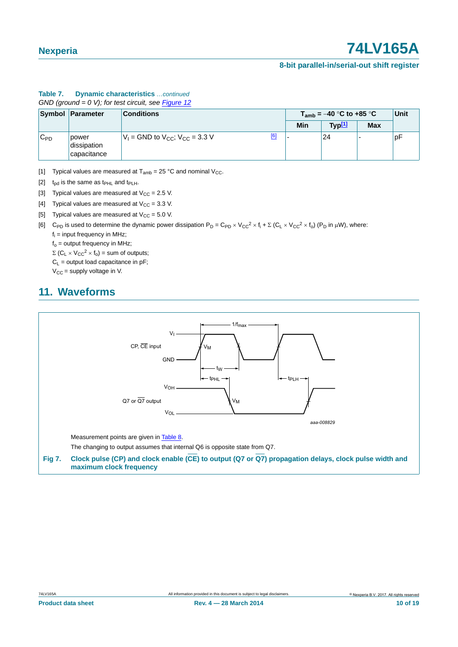#### **8-bit parallel-in/serial-out shift register**

| Table 7. | <b>Dynamic characteristics</b> continued              |  |
|----------|-------------------------------------------------------|--|
|          | GND (around $= 0$ V): for test circuit, see Figure 12 |  |

|                                          | $\frac{1}{2}$ . $\frac{1}{2}$ , $\frac{1}{2}$ , $\frac{1}{2}$ , $\frac{1}{2}$ , $\frac{1}{2}$ , $\frac{1}{2}$ , $\frac{1}{2}$ , $\frac{1}{2}$ , $\frac{1}{2}$ , $\frac{1}{2}$ |                                                   |                              |        |            |    |  |  |  |  |  |  |  |
|------------------------------------------|-------------------------------------------------------------------------------------------------------------------------------------------------------------------------------|---------------------------------------------------|------------------------------|--------|------------|----|--|--|--|--|--|--|--|
| Symbol<br><b>Conditions</b><br>Parameter |                                                                                                                                                                               |                                                   | $T_{amb}$ = -40 °C to +85 °C | Unit   |            |    |  |  |  |  |  |  |  |
|                                          |                                                                                                                                                                               |                                                   | Min                          | Typ[1] | <b>Max</b> |    |  |  |  |  |  |  |  |
| $C_{PD}$                                 | power<br>dissipation<br>capacitance                                                                                                                                           | [6]<br>$V_1$ = GND to $V_{CC}$ ; $V_{CC}$ = 3.3 V |                              | 24     |            | рF |  |  |  |  |  |  |  |

<span id="page-9-2"></span>[1] Typical values are measured at  $T_{amb} = 25 \degree C$  and nominal  $V_{CC}$ .

- <span id="page-9-1"></span>[2]  $t_{\text{pd}}$  is the same as  $t_{\text{PHL}}$  and  $t_{\text{PLH}}$ .
- <span id="page-9-3"></span>[3] Typical values are measured at  $V_{\text{CC}} = 2.5$  V.
- <span id="page-9-4"></span>[4] Typical values are measured at  $V_{CC} = 3.3$  V.
- <span id="page-9-5"></span>[5] Typical values are measured at  $V_{CC} = 5.0$  V.

<span id="page-9-6"></span>[6] C<sub>PD</sub> is used to determine the dynamic power dissipation  $P_D = C_{PD} \times V_{CC}^2 \times f_i + \Sigma (C_L \times V_{CC}^2 \times f_0)$  (P<sub>D</sub> in µW), where: f<sub>i</sub> = input frequency in MHz;  $f_0$  = output frequency in MHz;

 $\Sigma$  (C<sub>L</sub>  $\times$  V<sub>CC</sub><sup>2</sup>  $\times$  f<sub>o</sub>) = sum of outputs;  $C_L$  = output load capacitance in pF;

 $V_{CC}$  = supply voltage in V.

# <span id="page-9-7"></span>**11. Waveforms**

<span id="page-9-0"></span>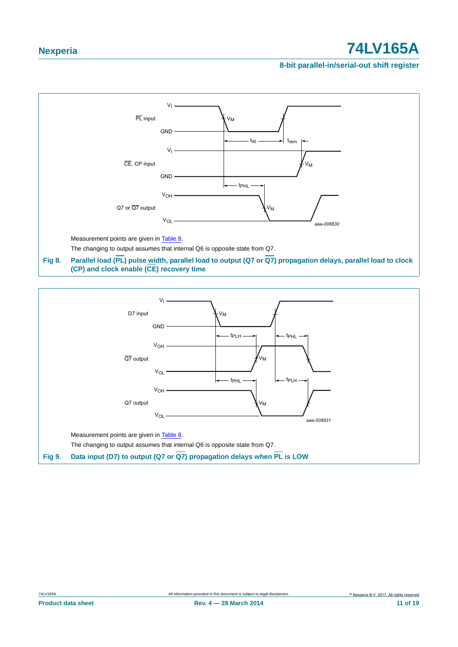#### **8-bit parallel-in/serial-out shift register**



<span id="page-10-1"></span><span id="page-10-0"></span>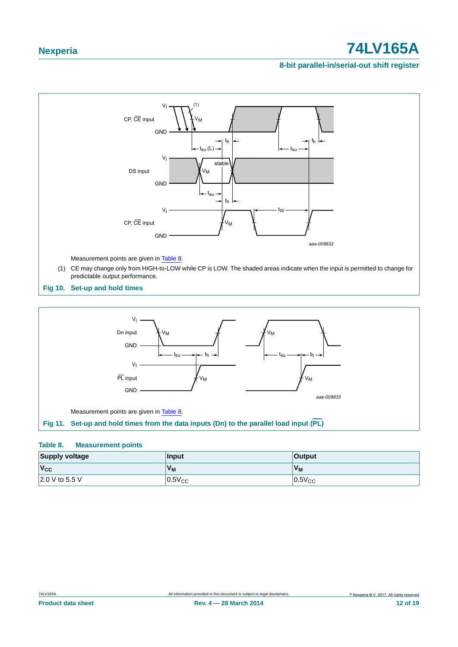#### **8-bit parallel-in/serial-out shift register**



predictable output performance.

#### <span id="page-11-0"></span>**Fig 10. Set-up and hold times**



#### <span id="page-11-2"></span><span id="page-11-1"></span>**Table 8. Measurement points**

| <b>Supply voltage</b>  | Input          | Output         |
|------------------------|----------------|----------------|
| $V_{\rm CC}$           | V <sub>M</sub> | V <sub>M</sub> |
| $\vert$ 2.0 V to 5.5 V | $0.5V_{CC}$    | $0.5V_{CC}$    |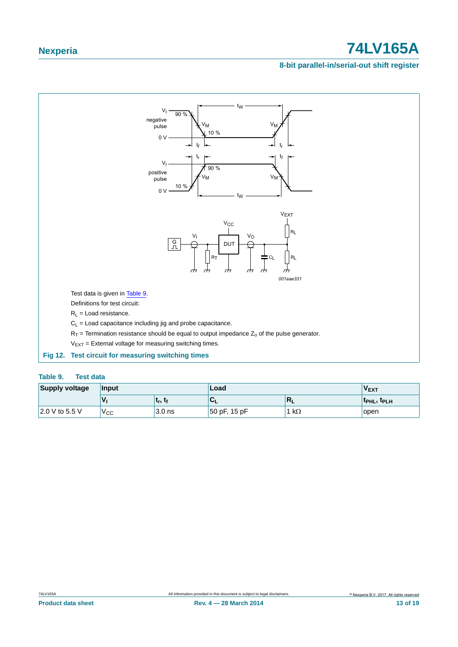#### **8-bit parallel-in/serial-out shift register**



#### <span id="page-12-1"></span><span id="page-12-0"></span>**Table 9. Test data**

| Supply voltage    | Input    |                            | Load         | V <sub>EXT</sub> |                   |
|-------------------|----------|----------------------------|--------------|------------------|-------------------|
|                   | V        | $\mathbf{u}_{\mathbf{r}},$ |              | M                | <b>TPHL, TPLH</b> |
| $ 2.0 V$ to 5.5 V | $V_{CC}$ | $3.0 \text{ ns}$           | 50 pF, 15 pF | 1 k $\Omega$     | open              |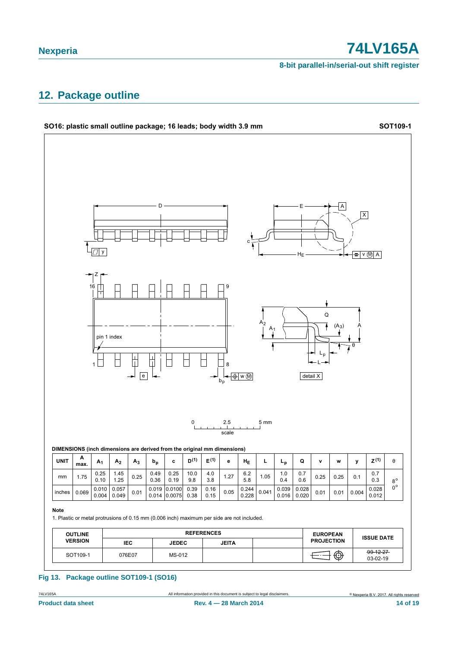**8-bit parallel-in/serial-out shift register**

## <span id="page-13-0"></span>**12. Package outline**



#### **Fig 13. Package outline SOT109-1 (SO16)**

74LV165A All information provided in this document is subject to legal disclaimers.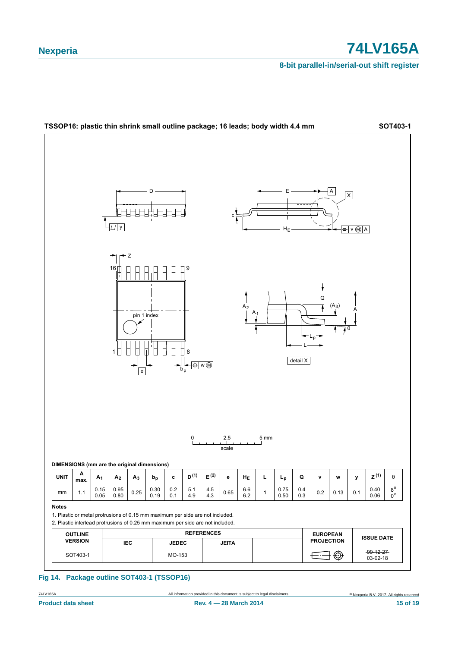**8-bit parallel-in/serial-out shift register**



**Fig 14. Package outline SOT403-1 (TSSOP16)**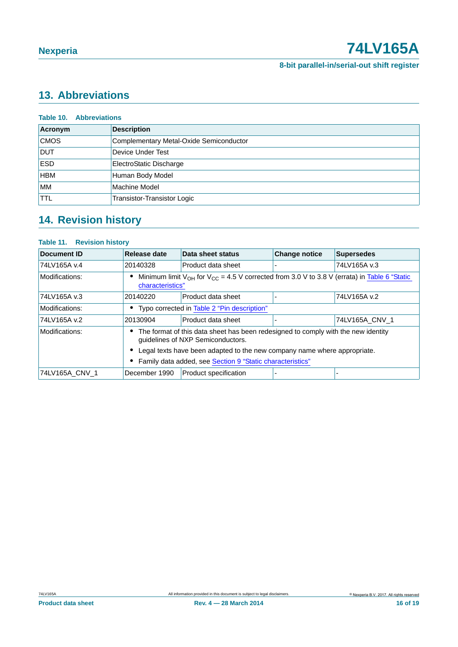# <span id="page-15-0"></span>**13. Abbreviations**

| <b>Table 10. Abbreviations</b> |                                         |  |  |
|--------------------------------|-----------------------------------------|--|--|
| Acronym                        | <b>Description</b>                      |  |  |
| <b>CMOS</b>                    | Complementary Metal-Oxide Semiconductor |  |  |
| <b>DUT</b>                     | Device Under Test                       |  |  |
| <b>ESD</b>                     | ElectroStatic Discharge                 |  |  |
| <b>HBM</b>                     | Human Body Model                        |  |  |
| <b>MM</b>                      | Machine Model                           |  |  |
| <b>TTL</b>                     | Transistor-Transistor Logic             |  |  |

# <span id="page-15-1"></span>**14. Revision history**

#### **Table 11. Revision history**

| <b>Document ID</b> | Release date                                                                                                              | Data sheet status            | <b>Change notice</b> | <b>Supersedes</b> |  |
|--------------------|---------------------------------------------------------------------------------------------------------------------------|------------------------------|----------------------|-------------------|--|
| 74LV165A v.4       | 20140328                                                                                                                  | Product data sheet           |                      | 74LV165A v.3      |  |
| Modifications:     | Minimum limit $V_{OH}$ for $V_{CC}$ = 4.5 V corrected from 3.0 V to 3.8 V (errata) in Table 6 "Static<br>characteristics" |                              |                      |                   |  |
| 74LV165A v.3       | 20140220                                                                                                                  | Product data sheet           |                      | 74LV165A v.2      |  |
| Modifications:     | • Typo corrected in Table 2 "Pin description"                                                                             |                              |                      |                   |  |
| 74LV165A v.2       | 20130904                                                                                                                  | Product data sheet           |                      | 74LV165A_CNV_1    |  |
| Modifications:     | • The format of this data sheet has been redesigned to comply with the new identity<br>guidelines of NXP Semiconductors.  |                              |                      |                   |  |
|                    | • Legal texts have been adapted to the new company name where appropriate.                                                |                              |                      |                   |  |
|                    | Family data added, see Section 9 "Static characteristics"                                                                 |                              |                      |                   |  |
| 74LV165A CNV 1     | December 1990                                                                                                             | <b>Product specification</b> |                      |                   |  |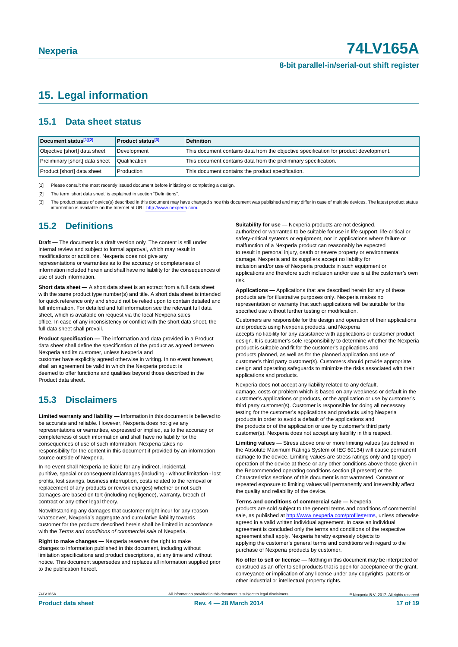# <span id="page-16-3"></span>**15. Legal information**

#### <span id="page-16-4"></span>**15.1 Data sheet status**

| Document status[1][2]          | <b>Product status</b> <sup>[3]</sup> | <b>Definition</b>                                                                     |
|--------------------------------|--------------------------------------|---------------------------------------------------------------------------------------|
| Objective [short] data sheet   | Development                          | This document contains data from the objective specification for product development. |
| Preliminary [short] data sheet | Qualification                        | This document contains data from the preliminary specification.                       |
| Product [short] data sheet     | Production                           | This document contains the product specification.                                     |

<span id="page-16-0"></span>[1] Please consult the most recently issued document before initiating or completing a design.

<span id="page-16-1"></span>[2] The term 'short data sheet' is explained in section "Definitions".

<span id="page-16-2"></span>[3] The product status of device(s) described in this document may have changed since this document was published and may differ in case of multiple devices. The latest product status<br>information is available on the Intern

#### <span id="page-16-5"></span>**15.2 Definitions**

**Draft —** The document is a draft version only. The content is still under internal review and subject to formal approval, which may result in modifications or additions. Nexperia does not give any

representations or warranties as to the accuracy or completeness of information included herein and shall have no liability for the consequences of use of such information.

**Short data sheet —** A short data sheet is an extract from a full data sheet with the same product type number(s) and title. A short data sheet is intended for quick reference only and should not be relied upon to contain detailed and full information. For detailed and full information see the relevant full data sheet, which is available on request via the local Nexperia sales office. In case of any inconsistency or conflict with the short data sheet, the full data sheet shall prevail.

**Product specification —** The information and data provided in a Product data sheet shall define the specification of the product as agreed between Nexperia and its customer, unless Nexperia and

customer have explicitly agreed otherwise in writing. In no event however, shall an agreement be valid in which the Nexperia product is deemed to offer functions and qualities beyond those described in the Product data sheet.

### <span id="page-16-6"></span>**15.3 Disclaimers**

**Limited warranty and liability —** Information in this document is believed to be accurate and reliable. However, Nexperia does not give any representations or warranties, expressed or implied, as to the accuracy or completeness of such information and shall have no liability for the consequences of use of such information. Nexperia takes no responsibility for the content in this document if provided by an information source outside of Nexperia.

In no event shall Nexperia be liable for any indirect, incidental, punitive, special or consequential damages (including - without limitation - lost profits, lost savings, business interruption, costs related to the removal or replacement of any products or rework charges) whether or not such damages are based on tort (including negligence), warranty, breach of contract or any other legal theory.

Notwithstanding any damages that customer might incur for any reason whatsoever, Nexperia's aggregate and cumulative liability towards customer for the products described herein shall be limited in accordance with the *Terms and conditions of commercial sale* of Nexperia.

**Right to make changes —** Nexperia reserves the right to make changes to information published in this document, including without limitation specifications and product descriptions, at any time and without notice. This document supersedes and replaces all information supplied prior to the publication hereof.

**Suitability for use - Nexperia products are not designed** authorized or warranted to be suitable for use in life support, life-critical or safety-critical systems or equipment, nor in applications where failure or malfunction of a Nexperia product can reasonably be expected to result in personal injury, death or severe property or environmental damage. Nexperia and its suppliers accept no liability for inclusion and/or use of Nexperia products in such equipment or applications and therefore such inclusion and/or use is at the customer's own risk.

**Applications —** Applications that are described herein for any of these products are for illustrative purposes only. Nexperia makes no representation or warranty that such applications will be suitable for the specified use without further testing or modification.

Customers are responsible for the design and operation of their applications and products using Nexperia products, and Nexperia accepts no liability for any assistance with applications or customer product design. It is customer's sole responsibility to determine whether the Nexperia product is suitable and fit for the customer's applications and products planned, as well as for the planned application and use of customer's third party customer(s). Customers should provide appropriate design and operating safeguards to minimize the risks associated with their applications and products.

Nexperia does not accept any liability related to any default, damage, costs or problem which is based on any weakness or default in the customer's applications or products, or the application or use by customer's third party customer(s). Customer is responsible for doing all necessary testing for the customer's applications and products using Nexperia products in order to avoid a default of the applications and the products or of the application or use by customer's third party customer(s). Nexperia does not accept any liability in this respect.

**Limiting values —** Stress above one or more limiting values (as defined in the Absolute Maximum Ratings System of IEC 60134) will cause permanent damage to the device. Limiting values are stress ratings only and (proper) operation of the device at these or any other conditions above those given in the Recommended operating conditions section (if present) or the Characteristics sections of this document is not warranted. Constant or repeated exposure to limiting values will permanently and irreversibly affect the quality and reliability of the device.

**Terms and conditions of commercial sale —** Nexperia

products are sold subject to the general terms and conditions of commercial sale, as published at [http://www.nexperia.com/profile/te](http://www.nexperia.com/profile/terms)rms, unless otherwise agreed in a valid written individual agreement. In case an individual agreement is concluded only the terms and conditions of the respective agreement shall apply. Nexperia hereby expressly objects to applying the customer's general terms and conditions with regard to the purchase of Nexperia products by customer.

**No offer to sell or license —** Nothing in this document may be interpreted or construed as an offer to sell products that is open for acceptance or the grant, conveyance or implication of any license under any copyrights, patents or other industrial or intellectual property rights.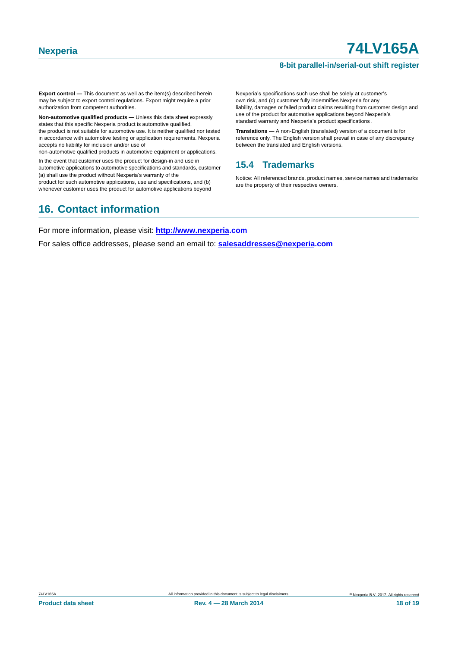#### **8-bit parallel-in/serial-out shift register**

**Export control —** This document as well as the item(s) described herein may be subject to export control regulations. Export might require a prior authorization from competent authorities.

**Non-automotive qualified products —** Unless this data sheet expressly states that this specific Nexperia product is automotive qualified, the product is not suitable for automotive use. It is neither qualified nor tested in accordance with automotive testing or application requirements. Nexperia accepts no liability for inclusion and/or use of

non-automotive qualified products in automotive equipment or applications.

In the event that customer uses the product for design-in and use in automotive applications to automotive specifications and standards, customer (a) shall use the product without Nexperia's warranty of the

product for such automotive applications, use and specifications, and (b) whenever customer uses the product for automotive applications beyond Nexperia's specifications such use shall be solely at customer's own risk, and (c) customer fully indemnifies Nexperia for any liability, damages or failed product claims resulting from customer design and use of the product for automotive applications beyond Nexperia's standard warranty and Nexperia's product specifications.

**Translations —** A non-English (translated) version of a document is for reference only. The English version shall prevail in case of any discrepancy between the translated and English versions.

#### <span id="page-17-0"></span>**15.4 Trademarks**

Notice: All referenced brands, product names, service names and trademarks are the property of their respective owners.

## <span id="page-17-1"></span>**16. Contact information**

For more information, please visit: **http://www.nexperia.com**

For sales office addresses, please send an email to: **salesaddresses@nexperia.com**